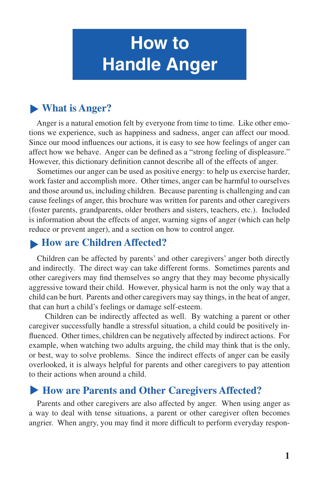# **How to Handle Anger**

# ▶ What is Anger?

Anger is a natural emotion felt by everyone from time to time. Like other emotions we experience, such as happiness and sadness, anger can affect our mood. Since our mood influences our actions, it is easy to see how feelings of anger can affect how we behave. Anger can be defined as a "strong feeling of displeasure." However, this dictionary definition cannot describe all of the effects of anger.

Sometimes our anger can be used as positive energy: to help us exercise harder, work faster and accomplish more. Other times, anger can be harmful to ourselves and those around us, including children. Because parenting is challenging and can cause feelings of anger, this brochure was written for parents and other caregivers (foster parents, grandparents, older brothers and sisters, teachers, etc.). Included is information about the effects of anger, warning signs of anger (which can help reduce or prevent anger), and a section on how to control anger.

## **How are Children Affected?**

Children can be affected by parents' and other caregivers' anger both directly and indirectly. The direct way can take different forms. Sometimes parents and other caregivers may find themselves so angry that they may become physically aggressive toward their child. However, physical harm is not the only way that a child can be hurt. Parents and other caregivers may say things, in the heat of anger, that can hurt a child's feelings or damage self-esteem.

 Children can be indirectly affected as well. By watching a parent or other caregiver successfully handle a stressful situation, a child could be positively influenced. Other times, children can be negatively affected by indirect actions. For example, when watching two adults arguing, the child may think that is the only, or best, way to solve problems. Since the indirect effects of anger can be easily overlooked, it is always helpful for parents and other caregivers to pay attention to their actions when around a child.

## ▶ How are Parents and Other Caregivers Affected?

Parents and other caregivers are also affected by anger. When using anger as a way to deal with tense situations, a parent or other caregiver often becomes angrier. When angry, you may find it more difficult to perform everyday respon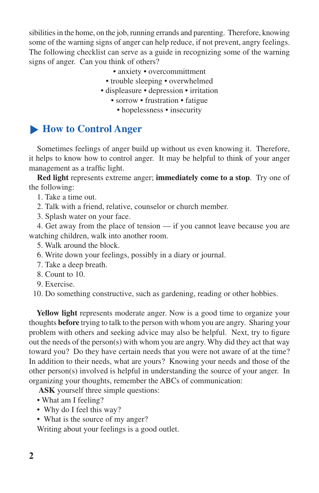sibilities in the home, on the job, running errands and parenting. Therefore, knowing some of the warning signs of anger can help reduce, if not prevent, angry feelings. The following checklist can serve as a guide in recognizing some of the warning signs of anger. Can you think of others?

- anxiety overcommittment
- trouble sleeping overwhelmed
- displeasure depression irritation
	- sorrow frustration fatigue
		- hopelessness insecurity

## ▶ <b>How to Control</b> <b>Auger</b>

Sometimes feelings of anger build up without us even knowing it. Therefore, it helps to know how to control anger. It may be helpful to think of your anger management as a traffic light.

**Red light** represents extreme anger; **immediately come to a stop**. Try one of the following:

1. Take a time out.

- 2. Talk with a friend, relative, counselor or church member.
- 3. Splash water on your face.

4. Get away from the place of tension — if you cannot leave because you are watching children, walk into another room.

- 5. Walk around the block.
- 6. Write down your feelings, possibly in a diary or journal.
- 7. Take a deep breath.
- 8. Count to 10.
- 9. Exercise.

10. Do something constructive, such as gardening, reading or other hobbies.

**Yellow light** represents moderate anger. Now is a good time to organize your thoughts **before** trying to talk to the person with whom you are angry. Sharing your problem with others and seeking advice may also be helpful. Next, try to figure out the needs of the person(s) with whom you are angry. Why did they act that way toward you? Do they have certain needs that you were not aware of at the time? In addition to their needs, what are yours? Knowing your needs and those of the other person(s) involved is helpful in understanding the source of your anger. In organizing your thoughts, remember the ABCs of communication:

**ASK** yourself three simple questions:

- What am I feeling?
- Why do I feel this way?

• What is the source of my anger?

Writing about your feelings is a good outlet.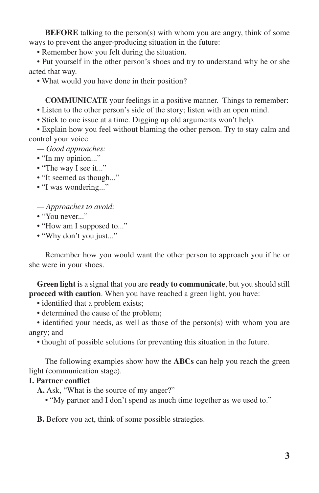**BEFORE** talking to the person(s) with whom you are angry, think of some ways to prevent the anger-producing situation in the future:

• Remember how you felt during the situation.

• Put yourself in the other person's shoes and try to understand why he or she acted that way.

• What would you have done in their position?

 **COMMUNICATE** your feelings in a positive manner. Things to remember:

• Listen to the other person's side of the story; listen with an open mind.

• Stick to one issue at a time. Digging up old arguments won't help.

• Explain how you feel without blaming the other person. Try to stay calm and control your voice.

*— Good approaches:*

- "In my opinion..."
- "The way I see it..."
- "It seemed as though..."
- "I was wondering..."

*— Approaches to avoid:*

- "You never..."
- "How am I supposed to..."
- "Why don't you just..."

 Remember how you would want the other person to approach you if he or she were in your shoes.

**Green light** is a signal that you are **ready to communicate**, but you should still **proceed with caution**. When you have reached a green light, you have:

- identified that a problem exists;
- determined the cause of the problem;

• identified your needs, as well as those of the person(s) with whom you are angry; and

• thought of possible solutions for preventing this situation in the future.

 The following examples show how the **ABCs** can help you reach the green light (communication stage).

#### **I. Partner conflict**

**A.** Ask, "What is the source of my anger?"

• "My partner and I don't spend as much time together as we used to."

**B.** Before you act, think of some possible strategies.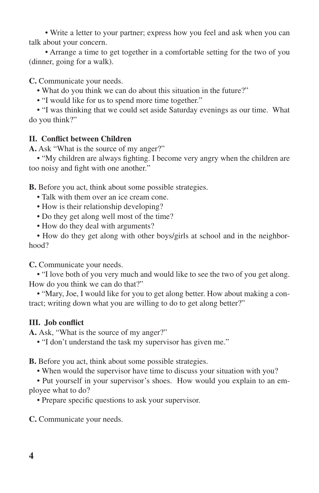• Write a letter to your partner; express how you feel and ask when you can talk about your concern.

 • Arrange a time to get together in a comfortable setting for the two of you (dinner, going for a walk).

**C.** Communicate your needs.

• What do you think we can do about this situation in the future?"

• "I would like for us to spend more time together."

• "I was thinking that we could set aside Saturday evenings as our time. What do you think?"

## **II. Conflict between Children**

**A.** Ask "What is the source of my anger?"

• "My children are always fighting. I become very angry when the children are too noisy and fight with one another."

**B.** Before you act, think about some possible strategies.

- Talk with them over an ice cream cone.
- How is their relationship developing?
- Do they get along well most of the time?
- How do they deal with arguments?

• How do they get along with other boys/girls at school and in the neighborhood?

**C.** Communicate your needs.

• "I love both of you very much and would like to see the two of you get along. How do you think we can do that?"

• "Mary, Joe, I would like for you to get along better. How about making a contract; writing down what you are willing to do to get along better?"

## **III. Job conflict**

A. Ask, "What is the source of my anger?"

• "I don't understand the task my supervisor has given me."

**B.** Before you act, think about some possible strategies.

• When would the supervisor have time to discuss your situation with you?

• Put yourself in your supervisor's shoes. How would you explain to an employee what to do?

• Prepare specific questions to ask your supervisor.

**C.** Communicate your needs.